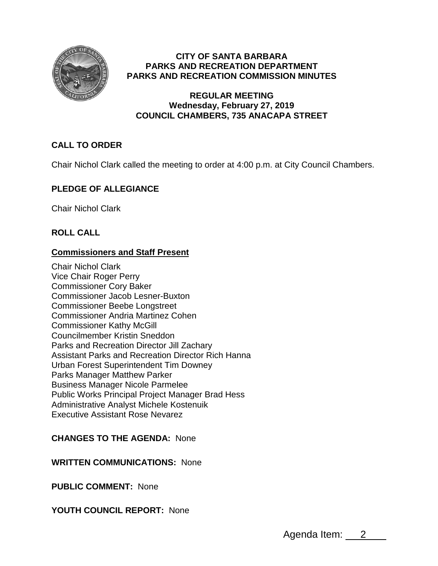

# **CITY OF SANTA BARBARA PARKS AND RECREATION DEPARTMENT PARKS AND RECREATION COMMISSION MINUTES**

### **REGULAR MEETING Wednesday, February 27, 2019 COUNCIL CHAMBERS, 735 ANACAPA STREET**

# **CALL TO ORDER**

Chair Nichol Clark called the meeting to order at 4:00 p.m. at City Council Chambers.

# **PLEDGE OF ALLEGIANCE**

Chair Nichol Clark

# **ROLL CALL**

### **Commissioners and Staff Present**

Chair Nichol Clark Vice Chair Roger Perry Commissioner Cory Baker Commissioner Jacob Lesner-Buxton Commissioner Beebe Longstreet Commissioner Andria Martinez Cohen Commissioner Kathy McGill Councilmember Kristin Sneddon Parks and Recreation Director Jill Zachary Assistant Parks and Recreation Director Rich Hanna Urban Forest Superintendent Tim Downey Parks Manager Matthew Parker Business Manager Nicole Parmelee Public Works Principal Project Manager Brad Hess Administrative Analyst Michele Kostenuik Executive Assistant Rose Nevarez

#### **CHANGES TO THE AGENDA:** None

#### **WRITTEN COMMUNICATIONS:** None

**PUBLIC COMMENT:** None

# **YOUTH COUNCIL REPORT:** None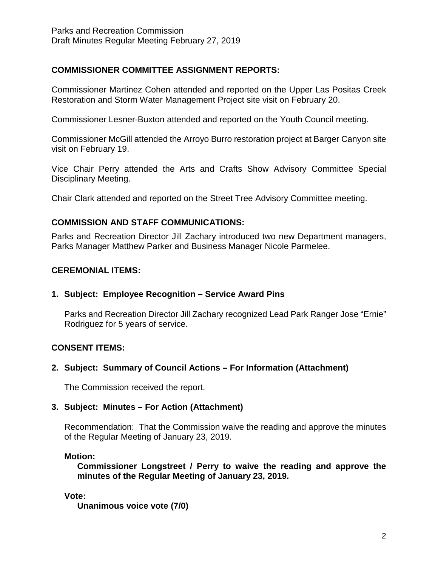# **COMMISSIONER COMMITTEE ASSIGNMENT REPORTS:**

Commissioner Martinez Cohen attended and reported on the Upper Las Positas Creek Restoration and Storm Water Management Project site visit on February 20.

Commissioner Lesner-Buxton attended and reported on the Youth Council meeting.

Commissioner McGill attended the Arroyo Burro restoration project at Barger Canyon site visit on February 19.

Vice Chair Perry attended the Arts and Crafts Show Advisory Committee Special Disciplinary Meeting.

Chair Clark attended and reported on the Street Tree Advisory Committee meeting.

# **COMMISSION AND STAFF COMMUNICATIONS:**

Parks and Recreation Director Jill Zachary introduced two new Department managers, Parks Manager Matthew Parker and Business Manager Nicole Parmelee.

# **CEREMONIAL ITEMS:**

# **1. Subject: Employee Recognition – Service Award Pins**

Parks and Recreation Director Jill Zachary recognized Lead Park Ranger Jose "Ernie" Rodriguez for 5 years of service.

# **CONSENT ITEMS:**

# **2. Subject: Summary of Council Actions – For Information (Attachment)**

The Commission received the report.

# **3. Subject: Minutes – For Action (Attachment)**

Recommendation: That the Commission waive the reading and approve the minutes of the Regular Meeting of January 23, 2019.

# **Motion:**

**Commissioner Longstreet / Perry to waive the reading and approve the minutes of the Regular Meeting of January 23, 2019.**

#### **Vote:**

**Unanimous voice vote (7/0)**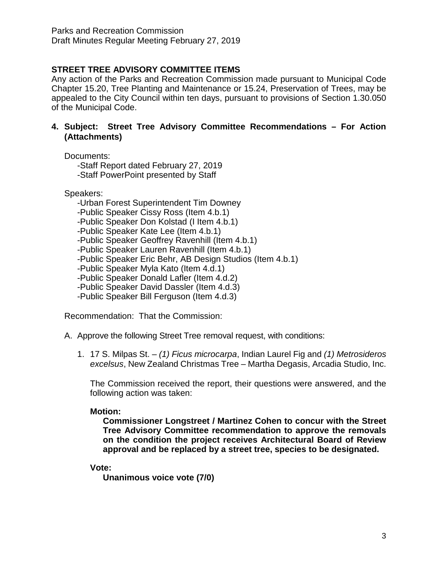# **STREET TREE ADVISORY COMMITTEE ITEMS**

Any action of the Parks and Recreation Commission made pursuant to Municipal Code Chapter 15.20, Tree Planting and Maintenance or 15.24, Preservation of Trees, may be appealed to the City Council within ten days, pursuant to provisions of Section 1.30.050 of the Municipal Code.

### **4. Subject: Street Tree Advisory Committee Recommendations – For Action (Attachments)**

Documents:

-Staff Report dated February 27, 2019 -Staff PowerPoint presented by Staff

Speakers:

-Urban Forest Superintendent Tim Downey

-Public Speaker Cissy Ross (Item 4.b.1)

-Public Speaker Don Kolstad (I Item 4.b.1)

-Public Speaker Kate Lee (Item 4.b.1)

-Public Speaker Geoffrey Ravenhill (Item 4.b.1)

-Public Speaker Lauren Ravenhill (Item 4.b.1)

-Public Speaker Eric Behr, AB Design Studios (Item 4.b.1)

-Public Speaker Myla Kato (Item 4.d.1)

-Public Speaker Donald Lafler (Item 4.d.2)

-Public Speaker David Dassler (Item 4.d.3)

-Public Speaker Bill Ferguson (Item 4.d.3)

Recommendation: That the Commission:

A. Approve the following Street Tree removal request, with conditions:

1. 17 S. Milpas St. – *(1) Ficus microcarpa*, Indian Laurel Fig and *(1) Metrosideros excelsus*, New Zealand Christmas Tree – Martha Degasis, Arcadia Studio, Inc.

The Commission received the report, their questions were answered, and the following action was taken:

# **Motion:**

**Commissioner Longstreet / Martinez Cohen to concur with the Street Tree Advisory Committee recommendation to approve the removals on the condition the project receives Architectural Board of Review approval and be replaced by a street tree, species to be designated.**

# **Vote:**

**Unanimous voice vote (7/0)**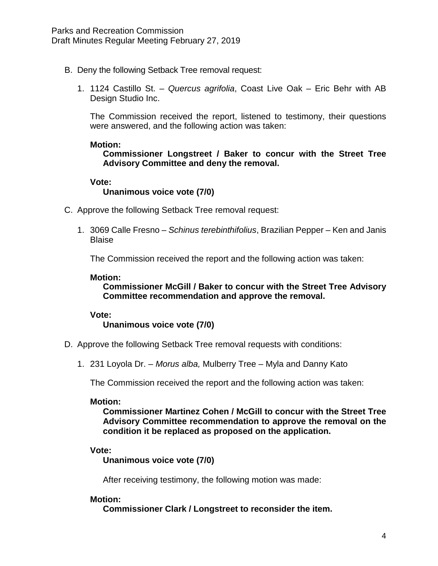- B. Deny the following Setback Tree removal request:
	- 1. 1124 Castillo St. *Quercus agrifolia*, Coast Live Oak Eric Behr with AB Design Studio Inc.

The Commission received the report, listened to testimony, their questions were answered, and the following action was taken:

#### **Motion:**

**Commissioner Longstreet / Baker to concur with the Street Tree Advisory Committee and deny the removal.**

#### **Vote: Unanimous voice vote (7/0)**

- C. Approve the following Setback Tree removal request:
	- 1. 3069 Calle Fresno *Schinus terebinthifolius*, Brazilian Pepper Ken and Janis **Blaise**

The Commission received the report and the following action was taken:

#### **Motion:**

**Commissioner McGill / Baker to concur with the Street Tree Advisory Committee recommendation and approve the removal.**

#### **Vote:**

**Unanimous voice vote (7/0)**

- D. Approve the following Setback Tree removal requests with conditions:
	- 1. 231 Loyola Dr. *Morus alba,* Mulberry Tree Myla and Danny Kato

The Commission received the report and the following action was taken:

#### **Motion:**

**Commissioner Martinez Cohen / McGill to concur with the Street Tree Advisory Committee recommendation to approve the removal on the condition it be replaced as proposed on the application.**

#### **Vote:**

**Unanimous voice vote (7/0)**

After receiving testimony, the following motion was made:

#### **Motion:**

**Commissioner Clark / Longstreet to reconsider the item.**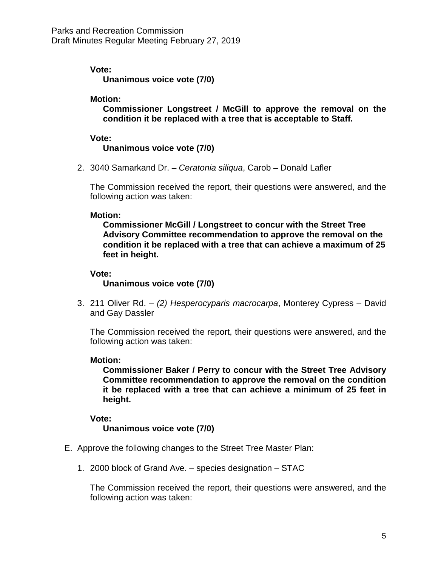### **Vote:**

**Unanimous voice vote (7/0)**

#### **Motion:**

**Commissioner Longstreet / McGill to approve the removal on the condition it be replaced with a tree that is acceptable to Staff.**

### **Vote:**

**Unanimous voice vote (7/0)**

2. 3040 Samarkand Dr. – *Ceratonia siliqua*, Carob – Donald Lafler

The Commission received the report, their questions were answered, and the following action was taken:

#### **Motion:**

**Commissioner McGill / Longstreet to concur with the Street Tree Advisory Committee recommendation to approve the removal on the condition it be replaced with a tree that can achieve a maximum of 25 feet in height.**

### **Vote:**

**Unanimous voice vote (7/0)**

3. 211 Oliver Rd. – *(2) Hesperocyparis macrocarpa*, Monterey Cypress – David and Gay Dassler

The Commission received the report, their questions were answered, and the following action was taken:

#### **Motion:**

**Commissioner Baker / Perry to concur with the Street Tree Advisory Committee recommendation to approve the removal on the condition it be replaced with a tree that can achieve a minimum of 25 feet in height.**

#### **Vote:**

# **Unanimous voice vote (7/0)**

- E. Approve the following changes to the Street Tree Master Plan:
	- 1. 2000 block of Grand Ave. species designation STAC

The Commission received the report, their questions were answered, and the following action was taken: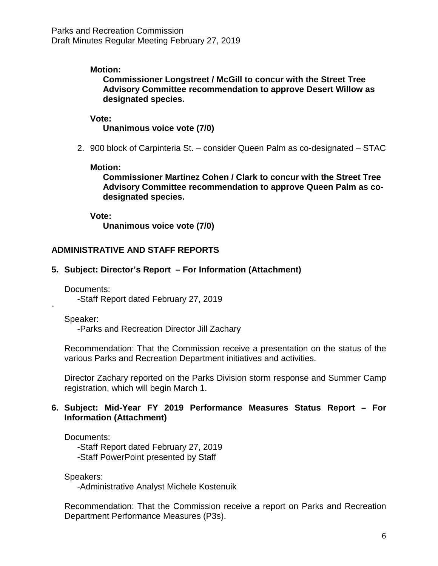### **Motion:**

**Commissioner Longstreet / McGill to concur with the Street Tree Advisory Committee recommendation to approve Desert Willow as designated species.**

#### **Vote:**

**Unanimous voice vote (7/0)**

2. 900 block of Carpinteria St. – consider Queen Palm as co-designated – STAC

#### **Motion:**

**Commissioner Martinez Cohen / Clark to concur with the Street Tree Advisory Committee recommendation to approve Queen Palm as codesignated species.**

**Vote:**

**Unanimous voice vote (7/0)**

### **ADMINISTRATIVE AND STAFF REPORTS**

#### **5. Subject: Director's Report – For Information (Attachment)**

Documents:

-Staff Report dated February 27, 2019

Speaker:

`

-Parks and Recreation Director Jill Zachary

Recommendation: That the Commission receive a presentation on the status of the various Parks and Recreation Department initiatives and activities.

Director Zachary reported on the Parks Division storm response and Summer Camp registration, which will begin March 1.

### **6. Subject: Mid-Year FY 2019 Performance Measures Status Report – For Information (Attachment)**

#### Documents:

-Staff Report dated February 27, 2019 -Staff PowerPoint presented by Staff

Speakers:

-Administrative Analyst Michele Kostenuik

Recommendation: That the Commission receive a report on Parks and Recreation Department Performance Measures (P3s).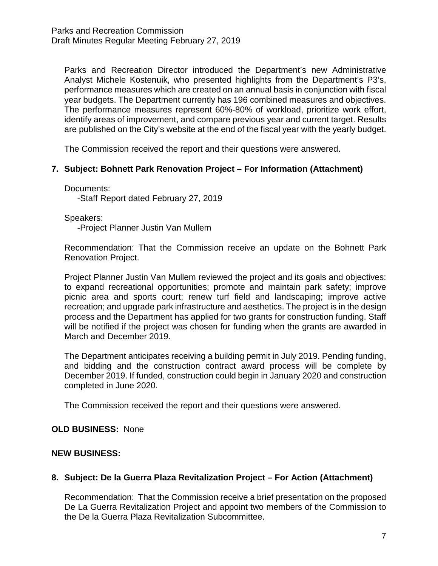Parks and Recreation Director introduced the Department's new Administrative Analyst Michele Kostenuik, who presented highlights from the Department's P3's, performance measures which are created on an annual basis in conjunction with fiscal year budgets. The Department currently has 196 combined measures and objectives. The performance measures represent 60%-80% of workload, prioritize work effort, identify areas of improvement, and compare previous year and current target. Results are published on the City's website at the end of the fiscal year with the yearly budget.

The Commission received the report and their questions were answered.

# **7. Subject: Bohnett Park Renovation Project – For Information (Attachment)**

Documents:

-Staff Report dated February 27, 2019

Speakers:

-Project Planner Justin Van Mullem

Recommendation: That the Commission receive an update on the Bohnett Park Renovation Project.

Project Planner Justin Van Mullem reviewed the project and its goals and objectives: to expand recreational opportunities; promote and maintain park safety; improve picnic area and sports court; renew turf field and landscaping; improve active recreation; and upgrade park infrastructure and aesthetics. The project is in the design process and the Department has applied for two grants for construction funding. Staff will be notified if the project was chosen for funding when the grants are awarded in March and December 2019.

The Department anticipates receiving a building permit in July 2019. Pending funding, and bidding and the construction contract award process will be complete by December 2019. If funded, construction could begin in January 2020 and construction completed in June 2020.

The Commission received the report and their questions were answered.

#### **OLD BUSINESS:** None

#### **NEW BUSINESS:**

# **8. Subject: De la Guerra Plaza Revitalization Project – For Action (Attachment)**

Recommendation: That the Commission receive a brief presentation on the proposed De La Guerra Revitalization Project and appoint two members of the Commission to the De la Guerra Plaza Revitalization Subcommittee.